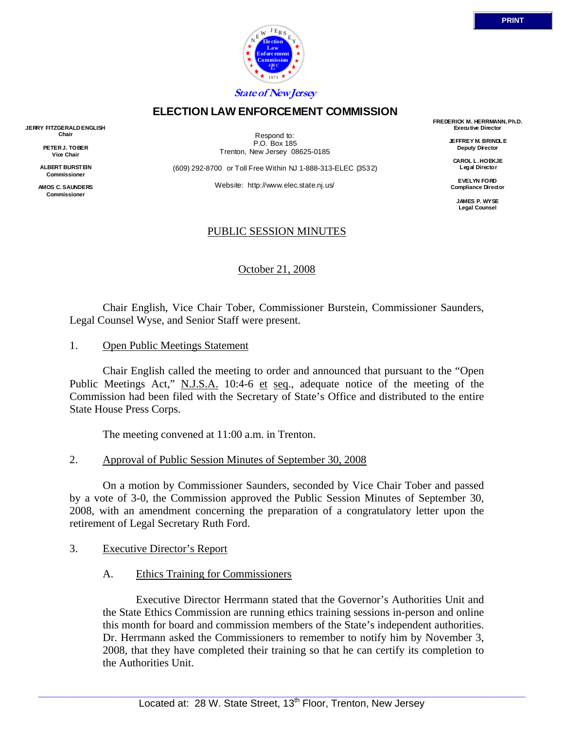

## **ELECTION LAW ENFORCEMENT COMMISSION**

**JERRY FITZGERALD ENGLISH Chair** 

> **PETER J. TOBER Vice Chair**

**ALBERT BURSTEIN Commissioner** 

**AMOS C. SAUNDERS Commissioner** 

Respond to: P.O. Box 185 Trenton, New Jersey 08625-0185

(609) 292-8700 or Toll Free Within NJ 1-888-313-ELEC (3532)

Website: http://www.elec.state.nj.us/

### PUBLIC SESSION MINUTES

October 21, 2008

 Chair English, Vice Chair Tober, Commissioner Burstein, Commissioner Saunders, Legal Counsel Wyse, and Senior Staff were present.

1. Open Public Meetings Statement

 Chair English called the meeting to order and announced that pursuant to the "Open Public Meetings Act," N.J.S.A. 10:4-6 et seq., adequate notice of the meeting of the Commission had been filed with the Secretary of State's Office and distributed to the entire State House Press Corps.

The meeting convened at 11:00 a.m. in Trenton.

2. Approval of Public Session Minutes of September 30, 2008

 On a motion by Commissioner Saunders, seconded by Vice Chair Tober and passed by a vote of 3-0, the Commission approved the Public Session Minutes of September 30, 2008, with an amendment concerning the preparation of a congratulatory letter upon the retirement of Legal Secretary Ruth Ford.

- 3. Executive Director's Report
	- A. Ethics Training for Commissioners

 Executive Director Herrmann stated that the Governor's Authorities Unit and the State Ethics Commission are running ethics training sessions in-person and online this month for board and commission members of the State's independent authorities. Dr. Herrmann asked the Commissioners to remember to notify him by November 3, 2008, that they have completed their training so that he can certify its completion to the Authorities Unit.

**FREDERICK M. HERRMANN, Ph.D. Executive Director** 

> **JEFFREY M. BRINDLE Deputy Director**

**CAROL L. HOEKJE Legal Director** 

**EVELYN FORD Compliance Director** 

> **JAMES P. WYSE Legal Counsel**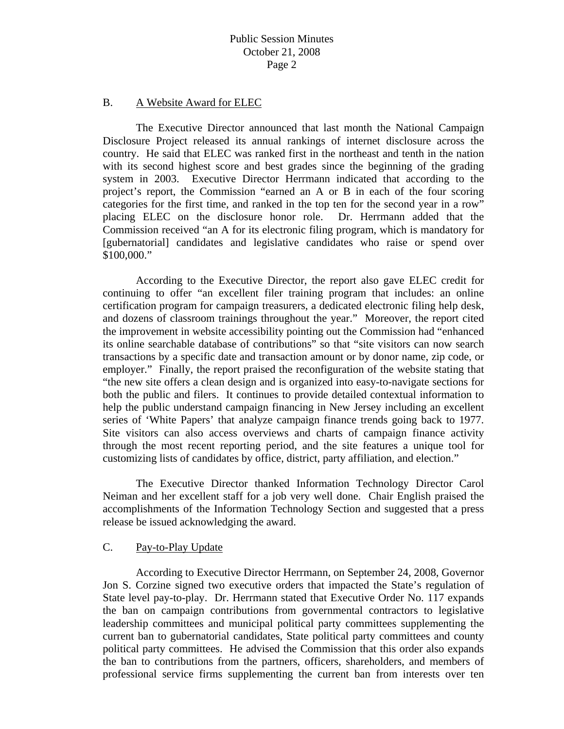#### B. A Website Award for ELEC

 The Executive Director announced that last month the National Campaign Disclosure Project released its annual rankings of internet disclosure across the country. He said that ELEC was ranked first in the northeast and tenth in the nation with its second highest score and best grades since the beginning of the grading system in 2003. Executive Director Herrmann indicated that according to the project's report, the Commission "earned an A or B in each of the four scoring categories for the first time, and ranked in the top ten for the second year in a row" placing ELEC on the disclosure honor role. Dr. Herrmann added that the Commission received "an A for its electronic filing program, which is mandatory for [gubernatorial] candidates and legislative candidates who raise or spend over \$100,000."

 According to the Executive Director, the report also gave ELEC credit for continuing to offer "an excellent filer training program that includes: an online certification program for campaign treasurers, a dedicated electronic filing help desk, and dozens of classroom trainings throughout the year." Moreover, the report cited the improvement in website accessibility pointing out the Commission had "enhanced its online searchable database of contributions" so that "site visitors can now search transactions by a specific date and transaction amount or by donor name, zip code, or employer." Finally, the report praised the reconfiguration of the website stating that "the new site offers a clean design and is organized into easy-to-navigate sections for both the public and filers. It continues to provide detailed contextual information to help the public understand campaign financing in New Jersey including an excellent series of 'White Papers' that analyze campaign finance trends going back to 1977. Site visitors can also access overviews and charts of campaign finance activity through the most recent reporting period, and the site features a unique tool for customizing lists of candidates by office, district, party affiliation, and election."

 The Executive Director thanked Information Technology Director Carol Neiman and her excellent staff for a job very well done. Chair English praised the accomplishments of the Information Technology Section and suggested that a press release be issued acknowledging the award.

#### C. Pay-to-Play Update

 According to Executive Director Herrmann, on September 24, 2008, Governor Jon S. Corzine signed two executive orders that impacted the State's regulation of State level pay-to-play. Dr. Herrmann stated that Executive Order No. 117 expands the ban on campaign contributions from governmental contractors to legislative leadership committees and municipal political party committees supplementing the current ban to gubernatorial candidates, State political party committees and county political party committees. He advised the Commission that this order also expands the ban to contributions from the partners, officers, shareholders, and members of professional service firms supplementing the current ban from interests over ten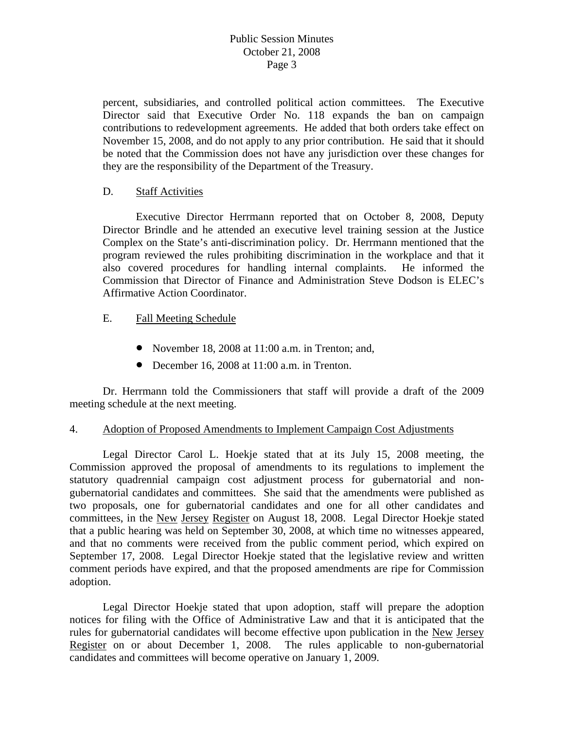percent, subsidiaries, and controlled political action committees. The Executive Director said that Executive Order No. 118 expands the ban on campaign contributions to redevelopment agreements. He added that both orders take effect on November 15, 2008, and do not apply to any prior contribution. He said that it should be noted that the Commission does not have any jurisdiction over these changes for they are the responsibility of the Department of the Treasury.

### D. Staff Activities

 Executive Director Herrmann reported that on October 8, 2008, Deputy Director Brindle and he attended an executive level training session at the Justice Complex on the State's anti-discrimination policy. Dr. Herrmann mentioned that the program reviewed the rules prohibiting discrimination in the workplace and that it also covered procedures for handling internal complaints. He informed the Commission that Director of Finance and Administration Steve Dodson is ELEC's Affirmative Action Coordinator.

- E. Fall Meeting Schedule
	- November 18, 2008 at 11:00 a.m. in Trenton; and,
	- December 16, 2008 at 11:00 a.m. in Trenton.

 Dr. Herrmann told the Commissioners that staff will provide a draft of the 2009 meeting schedule at the next meeting.

### 4. Adoption of Proposed Amendments to Implement Campaign Cost Adjustments

 Legal Director Carol L. Hoekje stated that at its July 15, 2008 meeting, the Commission approved the proposal of amendments to its regulations to implement the statutory quadrennial campaign cost adjustment process for gubernatorial and nongubernatorial candidates and committees. She said that the amendments were published as two proposals, one for gubernatorial candidates and one for all other candidates and committees, in the New Jersey Register on August 18, 2008. Legal Director Hoekje stated that a public hearing was held on September 30, 2008, at which time no witnesses appeared, and that no comments were received from the public comment period, which expired on September 17, 2008. Legal Director Hoekje stated that the legislative review and written comment periods have expired, and that the proposed amendments are ripe for Commission adoption.

 Legal Director Hoekje stated that upon adoption, staff will prepare the adoption notices for filing with the Office of Administrative Law and that it is anticipated that the rules for gubernatorial candidates will become effective upon publication in the New Jersey Register on or about December 1, 2008. The rules applicable to non-gubernatorial candidates and committees will become operative on January 1, 2009.